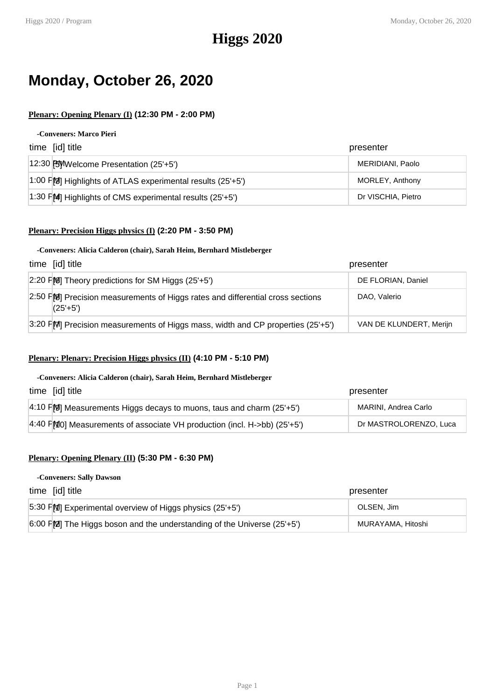# **Monday, October 26, 2020**

# **Plenary: Opening Plenary (I) (12:30 PM - 2:00 PM)**

#### **-Conveners: Marco Pieri**

| time [id] title                                                                         | presenter          |
|-----------------------------------------------------------------------------------------|--------------------|
| 12:30 FUWelcome Presentation (25'+5')                                                   | MERIDIANI, Paolo   |
| $\vert$ 1:00 F $\vert$ M <sub>2</sub> Highlights of ATLAS experimental results (25'+5') | MORLEY, Anthony    |
| 1:30 $F[M]$ Highlights of CMS experimental results (25'+5')                             | Dr VISCHIA, Pietro |

## **Plenary: Precision Higgs physics (I) (2:20 PM - 3:50 PM)**

### **-Conveners: Alicia Calderon (chair), Sarah Heim, Bernhard Mistleberger**

| time [id] title                                                                           | presenter               |
|-------------------------------------------------------------------------------------------|-------------------------|
| $[2:20$ FM Theory predictions for SM Higgs (25'+5')                                       | DE FLORIAN, Daniel      |
| 2:50 PM Precision measurements of Higgs rates and differential cross sections<br>$(25+5)$ | DAO, Valerio            |
| 3:20 FM Precision measurements of Higgs mass, width and CP properties $(25+5')$           | VAN DE KLUNDERT, Merijn |

# **Plenary: Plenary: Precision Higgs physics (II) (4:10 PM - 5:10 PM)**

#### **-Conveners: Alicia Calderon (chair), Sarah Heim, Bernhard Mistleberger**

| time [id] title                                                                             | presenter              |
|---------------------------------------------------------------------------------------------|------------------------|
| 4:10 $F[9]$ Measurements Higgs decays to muons, taus and charm (25'+5')                     | MARINI, Andrea Carlo   |
| $ 4:40 \text{ F} \text{M}0 $ Measurements of associate VH production (incl. H->bb) (25'+5') | Dr MASTROLORENZO, Luca |

## **Plenary: Opening Plenary (II) (5:30 PM - 6:30 PM)**

#### **-Conveners: Sally Dawson**

| time [id] title                                                          | presenter         |
|--------------------------------------------------------------------------|-------------------|
| 5:30 PM Experimental overview of Higgs physics (25'+5')                  | OLSEN. Jim        |
| $6:00$ FM The Higgs boson and the understanding of the Universe (25'+5') | MURAYAMA, Hitoshi |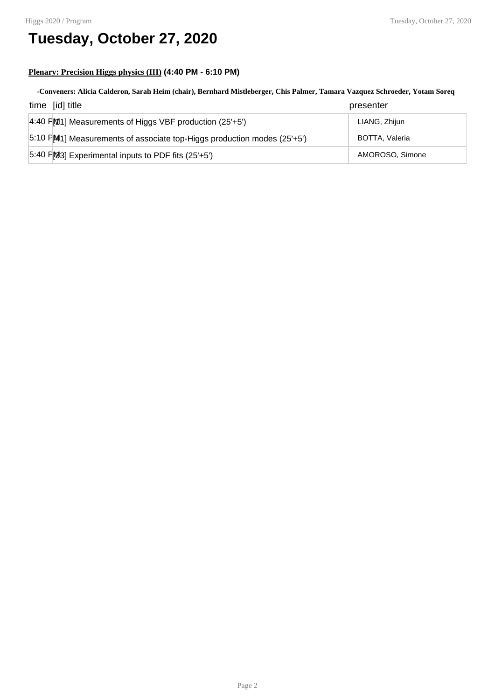# **Tuesday, October 27, 2020**

# **Plenary: Precision Higgs physics (III) (4:40 PM - 6:10 PM)**

# **-Conveners: Alicia Calderon, Sarah Heim (chair), Bernhard Mistleberger, Chis Palmer, Tamara Vazquez Schroeder, Yotam Soreq** time [id] title presenter

| uno pu uu                                                               | properition     |
|-------------------------------------------------------------------------|-----------------|
| $ 4:40$ FM11 Measurements of Higgs VBF production (25'+5')              | LIANG, Zhijun   |
| 5:10 FM11 Measurements of associate top-Higgs production modes (25'+5') | BOTTA, Valeria  |
| $5:40$ FM3] Experimental inputs to PDF fits (25'+5')                    | AMOROSO, Simone |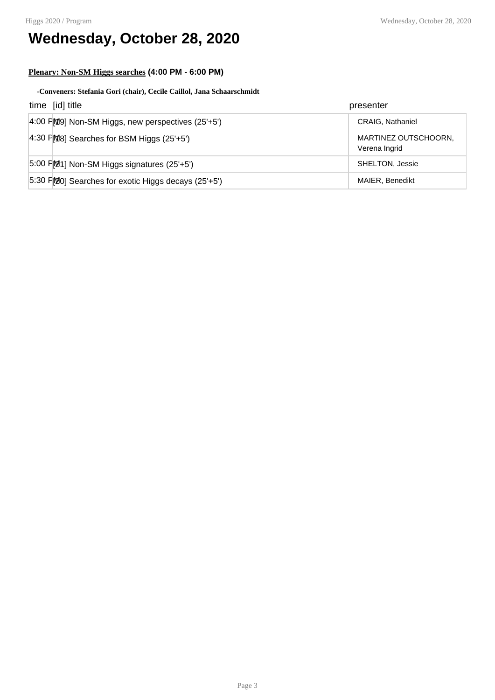# **Wednesday, October 28, 2020**

# **Plenary: Non-SM Higgs searches (4:00 PM - 6:00 PM)**

### **-Conveners: Stefania Gori (chair), Cecile Caillol, Jana Schaarschmidt**

| time [id] title                                            | presenter                             |
|------------------------------------------------------------|---------------------------------------|
| $4:00$ FMO Non-SM Higgs, new perspectives (25'+5')         | <b>CRAIG, Nathaniel</b>               |
| $ 4:30$ FMB Searches for BSM Higgs (25'+5')                | MARTINEZ OUTSCHOORN,<br>Verena Ingrid |
| $5.00$ FM <sub>21</sub> ] Non-SM Higgs signatures (25'+5') | SHELTON, Jessie                       |
| $5:30$ F $[20]$ Searches for exotic Higgs decays (25'+5')  | <b>MAIER, Benedikt</b>                |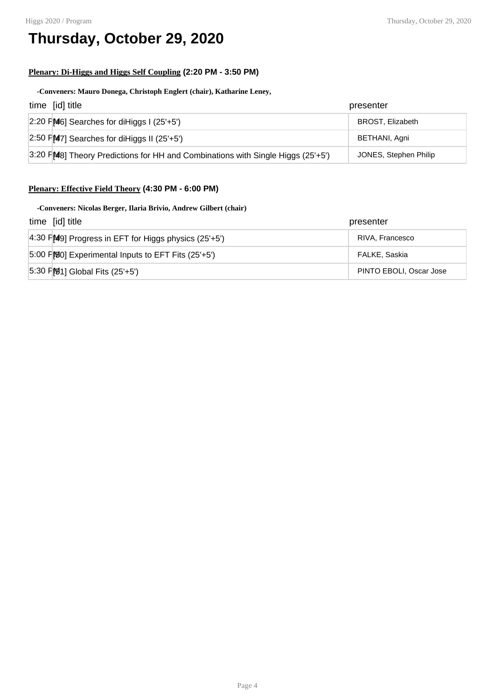# **Thursday, October 29, 2020**

## **Plenary: Di-Higgs and Higgs Self Coupling (2:20 PM - 3:50 PM)**

### **-Conveners: Mauro Donega, Christoph Englert (chair), Katharine Leney,**

| time [id] title                                                                  | presenter               |
|----------------------------------------------------------------------------------|-------------------------|
| $\left 2:20\right $ $\left 46\right $ Searches for diHiggs I (25'+5')            | <b>BROST, Elizabeth</b> |
| 2:50 $F[M7]$ Searches for diHiggs II (25'+5')                                    | BETHANI, Agni           |
| $3:20$ FMB Theory Predictions for HH and Combinations with Single Higgs (25'+5') | JONES, Stephen Philip   |

# **Plenary: Effective Field Theory (4:30 PM - 6:00 PM)**

### **-Conveners: Nicolas Berger, Ilaria Brivio, Andrew Gilbert (chair)**

| time [id] title                                             | presenter               |
|-------------------------------------------------------------|-------------------------|
| $ 4:30$ F $ 49 $ Progress in EFT for Higgs physics (25'+5') | RIVA, Francesco         |
| $5:00$ FMMO] Experimental Inputs to EFT Fits (25'+5')       | FALKE, Saskia           |
| $ 5:30$ FM $ 1$ ] Global Fits (25'+5')                      | PINTO EBOLI, Oscar Jose |